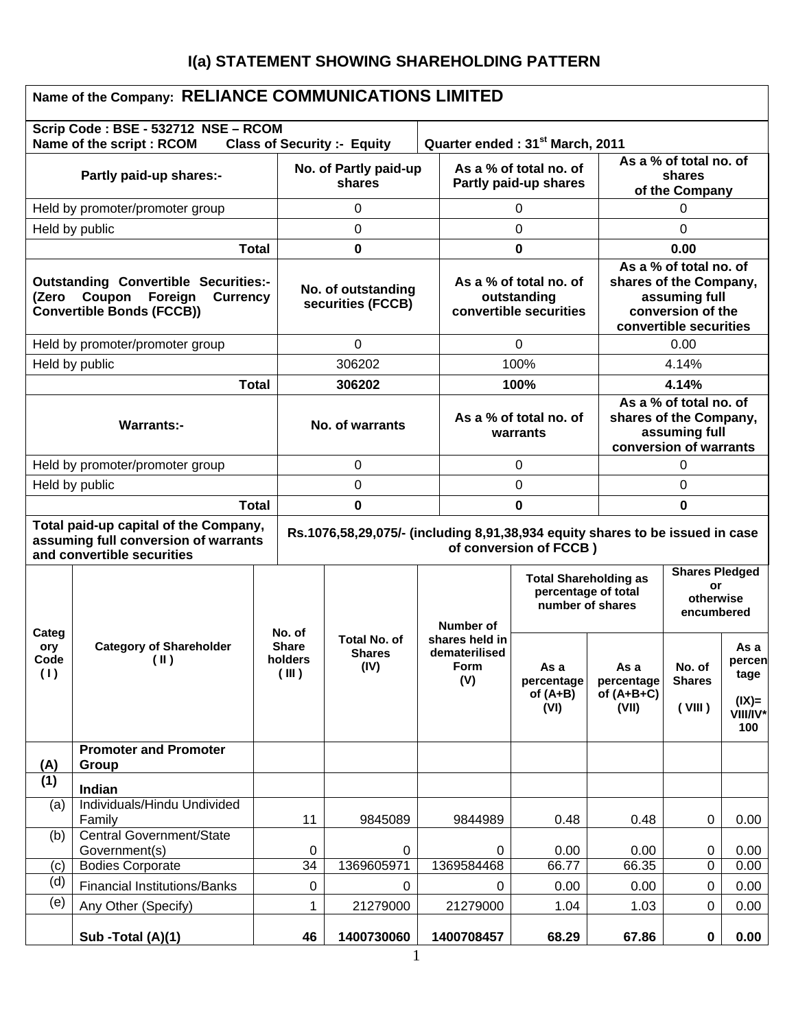# **I(a) STATEMENT SHOWING SHAREHOLDING PATTERN**

|                                                                                                                                                                                                                        | Name of the Company: RELIANCE COMMUNICATIONS LIMITED             |              |                                         |                                              |                                                |                                                                 |                                                                         |                                                                                                                  |                                                    |                                                       |
|------------------------------------------------------------------------------------------------------------------------------------------------------------------------------------------------------------------------|------------------------------------------------------------------|--------------|-----------------------------------------|----------------------------------------------|------------------------------------------------|-----------------------------------------------------------------|-------------------------------------------------------------------------|------------------------------------------------------------------------------------------------------------------|----------------------------------------------------|-------------------------------------------------------|
|                                                                                                                                                                                                                        | Scrip Code: BSE - 532712 NSE - RCOM<br>Name of the script : RCOM |              |                                         | <b>Class of Security :- Equity</b>           |                                                |                                                                 | Quarter ended: 31 <sup>st</sup> March, 2011                             |                                                                                                                  |                                                    |                                                       |
| Partly paid-up shares:-                                                                                                                                                                                                |                                                                  |              | No. of Partly paid-up<br>shares         |                                              |                                                | As a % of total no. of<br>Partly paid-up shares                 |                                                                         |                                                                                                                  | As a % of total no. of<br>shares<br>of the Company |                                                       |
|                                                                                                                                                                                                                        | Held by promoter/promoter group                                  |              | 0                                       |                                              |                                                |                                                                 | 0                                                                       |                                                                                                                  | 0                                                  |                                                       |
| Held by public                                                                                                                                                                                                         |                                                                  |              | 0                                       |                                              |                                                |                                                                 | 0                                                                       |                                                                                                                  | 0                                                  |                                                       |
|                                                                                                                                                                                                                        |                                                                  | <b>Total</b> |                                         | 0                                            |                                                |                                                                 | 0                                                                       |                                                                                                                  | 0.00                                               |                                                       |
| <b>Outstanding Convertible Securities:-</b><br>Coupon<br>Foreign<br><b>Currency</b><br>(Zero<br><b>Convertible Bonds (FCCB))</b>                                                                                       |                                                                  |              | No. of outstanding<br>securities (FCCB) |                                              |                                                | As a % of total no. of<br>outstanding<br>convertible securities |                                                                         | As a % of total no. of<br>shares of the Company,<br>assuming full<br>conversion of the<br>convertible securities |                                                    |                                                       |
|                                                                                                                                                                                                                        | Held by promoter/promoter group                                  |              |                                         | 0                                            |                                                |                                                                 | 0                                                                       |                                                                                                                  | 0.00                                               |                                                       |
| Held by public                                                                                                                                                                                                         |                                                                  |              |                                         | 306202                                       |                                                |                                                                 | 100%                                                                    |                                                                                                                  | 4.14%                                              |                                                       |
|                                                                                                                                                                                                                        |                                                                  | <b>Total</b> |                                         | 306202                                       |                                                |                                                                 | 100%                                                                    |                                                                                                                  | 4.14%                                              |                                                       |
| <b>Warrants:-</b>                                                                                                                                                                                                      |                                                                  |              |                                         | No. of warrants                              |                                                | As a % of total no. of<br>warrants                              |                                                                         | As a % of total no. of<br>shares of the Company,<br>assuming full<br>conversion of warrants                      |                                                    |                                                       |
| Held by promoter/promoter group                                                                                                                                                                                        |                                                                  |              | 0                                       |                                              |                                                | 0                                                               |                                                                         | 0                                                                                                                |                                                    |                                                       |
| Held by public                                                                                                                                                                                                         |                                                                  |              | 0                                       |                                              |                                                | 0                                                               |                                                                         |                                                                                                                  | 0                                                  |                                                       |
| <b>Total</b>                                                                                                                                                                                                           |                                                                  |              | 0                                       |                                              |                                                | 0                                                               |                                                                         | 0                                                                                                                |                                                    |                                                       |
| Total paid-up capital of the Company,<br>Rs.1076,58,29,075/- (including 8,91,38,934 equity shares to be issued in case<br>assuming full conversion of warrants<br>of conversion of FCCB)<br>and convertible securities |                                                                  |              |                                         |                                              |                                                |                                                                 |                                                                         |                                                                                                                  |                                                    |                                                       |
|                                                                                                                                                                                                                        |                                                                  |              | No. of                                  |                                              |                                                | Number of                                                       | <b>Total Shareholding as</b><br>percentage of total<br>number of shares | <b>Shares Pledged</b><br>or<br>otherwise<br>encumbered                                                           |                                                    |                                                       |
| Categ<br>ory<br>Code<br>(1)                                                                                                                                                                                            | <b>Category of Shareholder</b><br>(II)                           |              | <b>Share</b><br>holders<br>(III)        | <b>Total No. of</b><br><b>Shares</b><br>(IV) | shares held in<br>dematerilised<br><b>Form</b> |                                                                 | As a<br>percentage<br>of $(A+B)$<br>(VI)                                | As a<br>percentage<br>of $(A+B+C)$<br>(VII)                                                                      | No. of<br><b>Shares</b><br>(VIII)                  | As a<br>percen<br>tage<br>$(IX)$ =<br>VIII/IV*<br>100 |
| (A)                                                                                                                                                                                                                    | <b>Promoter and Promoter</b><br>Group                            |              |                                         |                                              |                                                |                                                                 |                                                                         |                                                                                                                  |                                                    |                                                       |
| (1)                                                                                                                                                                                                                    | Indian                                                           |              |                                         |                                              |                                                |                                                                 |                                                                         |                                                                                                                  |                                                    |                                                       |
| (a)                                                                                                                                                                                                                    | Individuals/Hindu Undivided<br>Family                            |              | 11                                      | 9845089                                      |                                                | 9844989                                                         | 0.48                                                                    | 0.48                                                                                                             | 0                                                  | 0.00                                                  |
| (b)                                                                                                                                                                                                                    | <b>Central Government/State</b><br>Government(s)                 |              | 0                                       | 0                                            |                                                | 0                                                               | 0.00                                                                    | 0.00                                                                                                             | 0                                                  | 0.00                                                  |
| (c)                                                                                                                                                                                                                    | <b>Bodies Corporate</b>                                          |              | 34                                      | 1369605971                                   |                                                | 1369584468                                                      | 66.77                                                                   | 66.35                                                                                                            | 0                                                  | 0.00                                                  |
| (d)                                                                                                                                                                                                                    | <b>Financial Institutions/Banks</b>                              |              | 0                                       | 0                                            |                                                | 0                                                               | 0.00                                                                    | 0.00                                                                                                             | $\mathbf 0$                                        | 0.00                                                  |
| (e)                                                                                                                                                                                                                    | Any Other (Specify)                                              |              | 1                                       | 21279000                                     |                                                | 21279000                                                        | 1.04                                                                    | 1.03                                                                                                             | $\boldsymbol{0}$                                   | 0.00                                                  |
|                                                                                                                                                                                                                        | Sub -Total (A)(1)                                                |              | 46                                      | 1400730060                                   |                                                | 1400708457                                                      | 68.29                                                                   | 67.86                                                                                                            | $\mathbf 0$                                        | 0.00                                                  |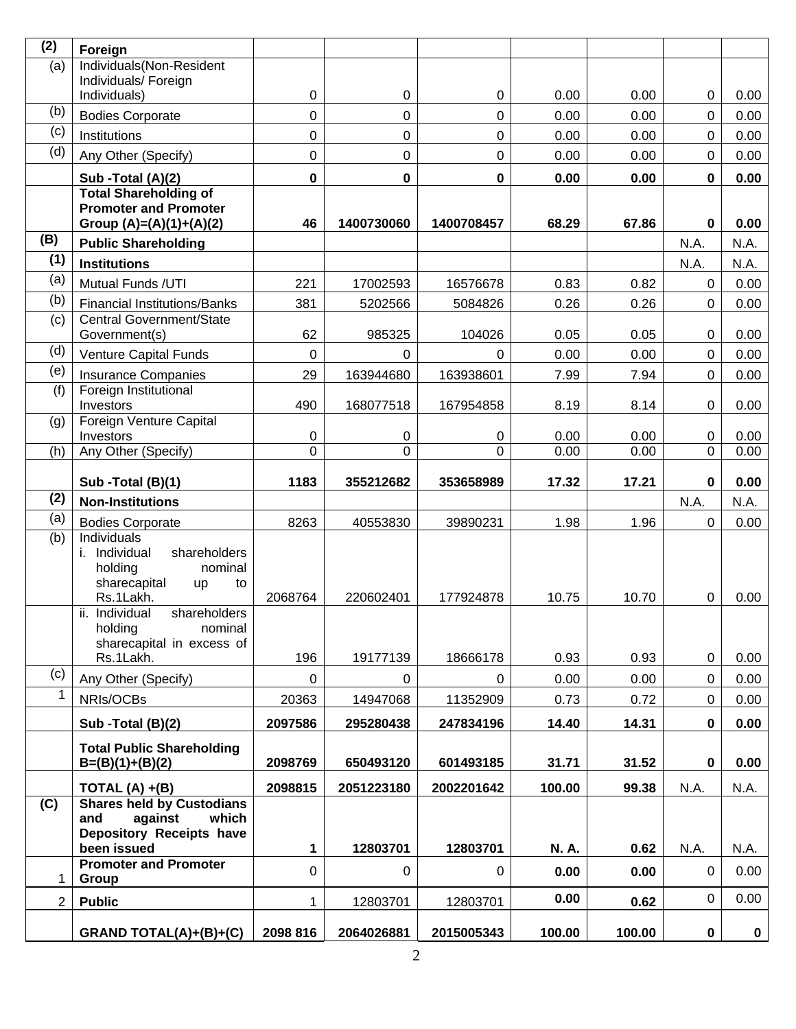| (2)            | Foreign                                                     |                  |            |               |              |              |                  |              |
|----------------|-------------------------------------------------------------|------------------|------------|---------------|--------------|--------------|------------------|--------------|
| (a)            | Individuals(Non-Resident                                    |                  |            |               |              |              |                  |              |
|                | Individuals/ Foreign<br>Individuals)                        | 0                | 0          | 0             | 0.00         | 0.00         | 0                | 0.00         |
| (b)            | <b>Bodies Corporate</b>                                     | 0                | 0          | 0             | 0.00         | 0.00         | 0                | 0.00         |
| (c)            | Institutions                                                | 0                | 0          | 0             | 0.00         | 0.00         | $\mathbf 0$      | 0.00         |
| (d)            | Any Other (Specify)                                         | 0                | 0          | $\mathbf 0$   | 0.00         | 0.00         | $\mathbf 0$      | 0.00         |
|                |                                                             |                  |            |               |              |              |                  |              |
|                | Sub -Total (A)(2)<br><b>Total Shareholding of</b>           | $\bf{0}$         | $\pmb{0}$  | 0             | 0.00         | 0.00         | $\pmb{0}$        | 0.00         |
|                | <b>Promoter and Promoter</b><br>Group (A)=(A)(1)+(A)(2)     | 46               | 1400730060 | 1400708457    | 68.29        | 67.86        | $\mathbf 0$      | 0.00         |
| (B)            | <b>Public Shareholding</b>                                  |                  |            |               |              |              | N.A.             | N.A.         |
| (1)            | <b>Institutions</b>                                         |                  |            |               |              |              | N.A.             | N.A.         |
| (a)            | Mutual Funds /UTI                                           | 221              | 17002593   | 16576678      | 0.83         | 0.82         | $\mathbf 0$      | 0.00         |
| (b)            | <b>Financial Institutions/Banks</b>                         | 381              | 5202566    | 5084826       | 0.26         | 0.26         | $\mathbf 0$      | 0.00         |
| (c)            | Central Government/State                                    |                  |            |               |              |              |                  |              |
| (d)            | Government(s)                                               | 62               | 985325     | 104026        | 0.05         | 0.05         | 0                | 0.00         |
| (e)            | Venture Capital Funds                                       | $\mathbf 0$      | 0          | $\Omega$      | 0.00         | 0.00         | $\mathbf 0$      | 0.00         |
| (f)            | <b>Insurance Companies</b><br>Foreign Institutional         | 29               | 163944680  | 163938601     | 7.99         | 7.94         | $\mathbf 0$      | 0.00         |
|                | Investors                                                   | 490              | 168077518  | 167954858     | 8.19         | 8.14         | 0                | 0.00         |
| (g)            | Foreign Venture Capital                                     |                  |            |               |              |              |                  |              |
| (h)            | Investors<br>Any Other (Specify)                            | 0<br>$\mathbf 0$ | 0<br>0     | 0<br>$\Omega$ | 0.00<br>0.00 | 0.00<br>0.00 | 0<br>0           | 0.00<br>0.00 |
|                |                                                             |                  |            |               |              |              |                  |              |
|                | Sub -Total (B)(1)                                           | 1183             | 355212682  | 353658989     | 17.32        | 17.21        | $\mathbf 0$      | 0.00         |
| (2)            | <b>Non-Institutions</b>                                     |                  |            |               |              |              | N.A.             | N.A.         |
| (a)            | <b>Bodies Corporate</b>                                     | 8263             | 40553830   | 39890231      | 1.98         | 1.96         | $\mathbf 0$      | 0.00         |
| (b)            | Individuals<br>i. Individual<br>shareholders                |                  |            |               |              |              |                  |              |
|                | holding<br>nominal                                          |                  |            |               |              |              |                  |              |
|                | sharecapital<br>to<br>up                                    |                  |            |               |              |              |                  |              |
|                | Rs.1Lakh.<br>shareholders<br>ii.<br>Individual              | 2068764          | 220602401  | 177924878     | 10.75        | 10.70        | 0                | 0.00         |
|                | holding<br>nominal                                          |                  |            |               |              |              |                  |              |
|                | sharecapital in excess of                                   |                  |            |               |              |              |                  |              |
|                | Rs.1Lakh.                                                   | 196              | 19177139   | 18666178      | 0.93         | 0.93         | $\pmb{0}$        | 0.00         |
| (c)            | Any Other (Specify)                                         | 0                | $\Omega$   | $\mathbf 0$   | 0.00         | 0.00         | $\mathbf 0$      | 0.00         |
| $\mathbf{1}$   | NRIs/OCBs                                                   | 20363            | 14947068   | 11352909      | 0.73         | 0.72         | $\pmb{0}$        | 0.00         |
|                | Sub - Total (B)(2)                                          | 2097586          | 295280438  | 247834196     | 14.40        | 14.31        | 0                | 0.00         |
|                | <b>Total Public Shareholding</b>                            |                  |            |               |              |              |                  |              |
|                | $B=(B)(1)+(B)(2)$                                           | 2098769          | 650493120  | 601493185     | 31.71        | 31.52        | $\boldsymbol{0}$ | 0.00         |
|                | TOTAL $(A) + (B)$                                           | 2098815          | 2051223180 | 2002201642    | 100.00       | 99.38        | N.A.             | N.A.         |
| (C)            | <b>Shares held by Custodians</b><br>against<br>which<br>and |                  |            |               |              |              |                  |              |
|                | Depository Receipts have                                    |                  |            |               |              |              |                  |              |
|                | been issued                                                 | 1                | 12803701   | 12803701      | <b>N.A.</b>  | 0.62         | N.A.             | N.A.         |
| 1              | <b>Promoter and Promoter</b><br>Group                       | 0                | 0          | $\mathbf 0$   | 0.00         | 0.00         | $\mathbf 0$      | 0.00         |
| $\overline{2}$ | <b>Public</b>                                               | 1                | 12803701   | 12803701      | 0.00         | 0.62         | $\mathbf 0$      | 0.00         |
|                |                                                             |                  |            |               |              |              |                  |              |
|                | GRAND TOTAL(A)+(B)+(C)                                      | 2098 816         | 2064026881 | 2015005343    | 100.00       | 100.00       | $\pmb{0}$        | $\mathbf 0$  |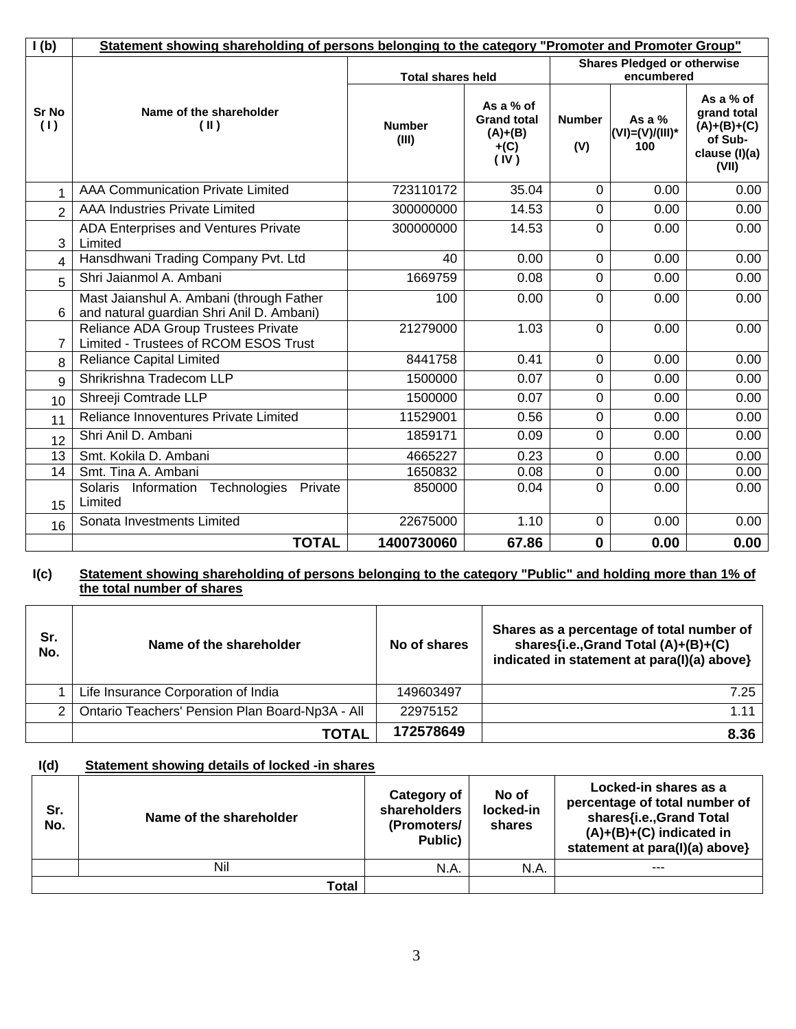| I(b)                | Statement showing shareholding of persons belonging to the category "Promoter and Promoter Group" |                        |                                                                |                      |                                    |                                                                                |  |  |
|---------------------|---------------------------------------------------------------------------------------------------|------------------------|----------------------------------------------------------------|----------------------|------------------------------------|--------------------------------------------------------------------------------|--|--|
|                     |                                                                                                   |                        | <b>Total shares held</b>                                       |                      |                                    | <b>Shares Pledged or otherwise</b><br>encumbered                               |  |  |
| <b>Sr No</b><br>(1) | Name of the shareholder<br>$(\parallel)$                                                          | <b>Number</b><br>(III) | As a % of<br><b>Grand total</b><br>$(A)+(B)$<br>$+(C)$<br>(IV) | <b>Number</b><br>(V) | As a $%$<br>(VI)=(V)/(III)*<br>100 | As a % of<br>grand total<br>$(A)+(B)+(C)$<br>of Sub-<br>clause (I)(a)<br>(VII) |  |  |
| 1                   | <b>AAA Communication Private Limited</b>                                                          | 723110172              | 35.04                                                          | $\Omega$             | 0.00                               | 0.00                                                                           |  |  |
| $\overline{2}$      | <b>AAA Industries Private Limited</b>                                                             | 300000000              | 14.53                                                          | $\mathbf 0$          | 0.00                               | 0.00                                                                           |  |  |
| 3                   | ADA Enterprises and Ventures Private<br>Limited                                                   | 300000000              | 14.53                                                          | $\mathbf 0$          | 0.00                               | 0.00                                                                           |  |  |
| 4                   | Hansdhwani Trading Company Pvt. Ltd                                                               | 40                     | 0.00                                                           | $\mathbf 0$          | 0.00                               | 0.00                                                                           |  |  |
| 5                   | Shri Jaianmol A. Ambani                                                                           | 1669759                | 0.08                                                           | $\mathbf 0$          | 0.00                               | 0.00                                                                           |  |  |
| 6                   | Mast Jaianshul A. Ambani (through Father<br>and natural guardian Shri Anil D. Ambani)             | 100                    | 0.00                                                           | $\Omega$             | 0.00                               | 0.00                                                                           |  |  |
| 7                   | Reliance ADA Group Trustees Private<br>Limited - Trustees of RCOM ESOS Trust                      | 21279000               | 1.03                                                           | $\Omega$             | 0.00                               | 0.00                                                                           |  |  |
| 8                   | <b>Reliance Capital Limited</b>                                                                   | 8441758                | 0.41                                                           | $\Omega$             | 0.00                               | 0.00                                                                           |  |  |
| 9                   | Shrikrishna Tradecom LLP                                                                          | 1500000                | 0.07                                                           | $\mathbf 0$          | 0.00                               | 0.00                                                                           |  |  |
| 10                  | Shreeji Comtrade LLP                                                                              | 1500000                | 0.07                                                           | $\overline{0}$       | 0.00                               | 0.00                                                                           |  |  |
| 11                  | Reliance Innoventures Private Limited                                                             | 11529001               | 0.56                                                           | $\mathbf 0$          | 0.00                               | 0.00                                                                           |  |  |
| 12                  | Shri Anil D. Ambani                                                                               | 1859171                | 0.09                                                           | $\overline{0}$       | 0.00                               | 0.00                                                                           |  |  |
| 13                  | Smt. Kokila D. Ambani                                                                             | 4665227                | 0.23                                                           | $\mathbf 0$          | 0.00                               | 0.00                                                                           |  |  |
| 14                  | Smt. Tina A. Ambani                                                                               | 1650832                | 0.08                                                           | $\mathbf 0$          | 0.00                               | 0.00                                                                           |  |  |
| 15                  | Technologies<br><b>Solaris</b><br>Private<br>Information<br>Limited                               | 850000                 | 0.04                                                           | $\Omega$             | 0.00                               | 0.00                                                                           |  |  |
| 16                  | Sonata Investments Limited                                                                        | 22675000               | 1.10                                                           | $\mathbf 0$          | 0.00                               | 0.00                                                                           |  |  |
|                     | <b>TOTAL</b>                                                                                      | 1400730060             | 67.86                                                          | $\mathbf 0$          | 0.00                               | 0.00                                                                           |  |  |

#### **I(c) Statement showing shareholding of persons belonging to the category "Public" and holding more than 1% of the total number of shares**

| Sr.<br>No. | Name of the shareholder                         | No of shares | Shares as a percentage of total number of<br>shares{i.e.,Grand Total (A)+(B)+(C)<br>indicated in statement at para(I)(a) above} |
|------------|-------------------------------------------------|--------------|---------------------------------------------------------------------------------------------------------------------------------|
|            | Life Insurance Corporation of India             | 149603497    | 7.25                                                                                                                            |
| 2          | Ontario Teachers' Pension Plan Board-Np3A - All | 22975152     | 1.11                                                                                                                            |
|            | <b>TOTAL</b>                                    | 172578649    | 8.36                                                                                                                            |

## **I(d) Statement showing details of locked -in shares**

| Sr.<br>No. | Name of the shareholder | Category of<br>shareholders<br>(Promoters/<br>Public) | No of<br>locked-in<br>shares | Locked-in shares as a<br>percentage of total number of<br>shares{i.e., Grand Total<br>$(A)+(B)+(C)$ indicated in<br>statement at para(I)(a) above} |
|------------|-------------------------|-------------------------------------------------------|------------------------------|----------------------------------------------------------------------------------------------------------------------------------------------------|
|            | Nil                     | N.A.                                                  | N.A.                         | ---                                                                                                                                                |
|            | Total                   |                                                       |                              |                                                                                                                                                    |